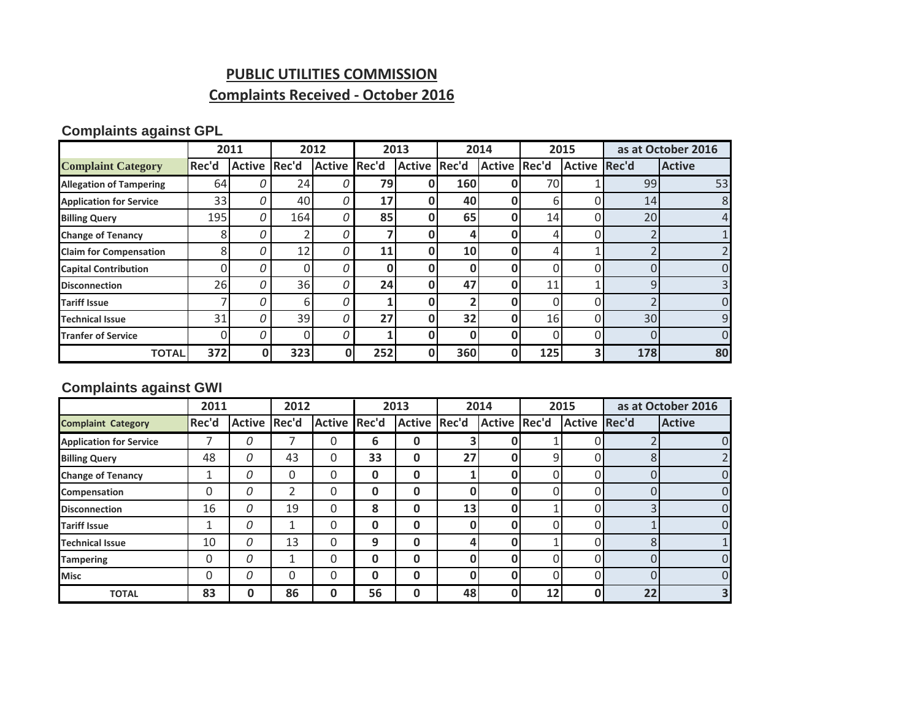## **PUBLIC UTILITIES COMMISSION**

# **Complaints Received - October 2016**

### **Complaints against GPL**

|                                |       | 2011         |     | 2012          |       | 2013         |     | 2014         | 2015 |              | as at October 2016 |                |
|--------------------------------|-------|--------------|-----|---------------|-------|--------------|-----|--------------|------|--------------|--------------------|----------------|
| <b>Complaint Category</b>      | Rec'd | Active Rec'd |     | <b>Active</b> | Rec'd | Active Rec'd |     | Active Rec'd |      | Active Rec'd |                    | <b>Active</b>  |
| <b>Allegation of Tampering</b> | 64    | 0            | 24  |               | 79    |              | 160 |              | 70   |              | 99                 | 53             |
| <b>Application for Service</b> | 33    | 0            | 40  |               | 17    |              | 40  |              | 6    |              | 14                 | 8              |
| <b>Billing Query</b>           | 195   | 0            | 164 |               | 85    |              | 65  | 0            | 14   | n.           | 20                 | 4              |
| <b>Change of Tenancy</b>       | 8     | 0            |     |               |       |              | 4   |              |      |              |                    |                |
| <b>Claim for Compensation</b>  | 8     | 0            | 12  |               | 11    |              | 10  |              |      |              |                    |                |
| <b>Capital Contribution</b>    |       | 0            |     |               | Ω     |              | 0   |              |      |              |                    | 0              |
| <b>Disconnection</b>           | 26    | 0            | 36  |               | 24    |              | 47  | Ω            | 11   |              | 9                  | $\overline{3}$ |
| <b>Tariff Issue</b>            |       | 0            | 6   |               |       |              |     |              |      |              |                    | 0              |
| <b>Technical Issue</b>         | 31    | 0            | 39  |               | 27    |              | 32  | Ω            | 16   | ი            | 30                 | 9              |
| <b>Tranfer of Service</b>      | 0     | 0            |     |               |       | n            | 0   |              |      |              |                    | $\Omega$       |
| <b>TOTAL</b>                   | 372   |              | 323 | O             | 252   |              | 360 | O            | 125  | 3.           | 178                | 80             |

#### **Complaints against GWI**

|                                | 2011  |                     | 2012 |               | 2013  |              | 2014         |              | 2015     |                     | as at October 2016 |               |
|--------------------------------|-------|---------------------|------|---------------|-------|--------------|--------------|--------------|----------|---------------------|--------------------|---------------|
| <b>Complaint Category</b>      | Rec'd | <b>Active Rec'd</b> |      | <b>Active</b> | Rec'd | Active Rec'd |              | Active Rec'd |          | <b>Active Rec'd</b> |                    | <b>Active</b> |
| <b>Application for Service</b> |       | 0                   |      | 0             | 6     | 0            | 3            |              |          |                     |                    | 0             |
| <b>Billing Query</b>           | 48    | 0                   | 43   | 0             | 33    | 0            | 27           | 0            | 9        |                     | 8                  | 2             |
| <b>Change of Tenancy</b>       | 1     | 0                   | 0    | 0             | 0     | 0            |              | 0            |          | 0.                  |                    | 0             |
| Compensation                   | 0     | 0                   | 2    | 0             | 0     | 0            | 0            | 0            | 0        | 0                   |                    | 0             |
| <b>Disconnection</b>           | 16    | Ω                   | 19   | 0             | 8     | 0            | 13           | 0            |          | ი                   | っ                  | 0             |
| <b>Tariff Issue</b>            | 1     | 0                   |      | 0             | 0     | 0            | $\mathbf{0}$ | 0            | $\Omega$ | 0                   |                    | 0             |
| <b>Technical Issue</b>         | 10    | 0                   | 13   | 0             | 9     | $\bf{0}$     | 4            | Ω            |          | U                   | 8                  | $\mathbf{1}$  |
| <b>Tampering</b>               | 0     | 0                   |      | 0             | 0     | 0            | $\mathbf{0}$ | Ω            | U.       | U                   | ∩                  | 0             |
| <b>Misc</b>                    | 0     | Ω                   | 0    | 0             | 0     | 0            | 0            | 0            |          | U                   | U                  | 0             |
| <b>TOTAL</b>                   | 83    | 0                   | 86   | 0             | 56    | 0            | 48           | 0            | 12       | 0                   | 22                 | 3             |